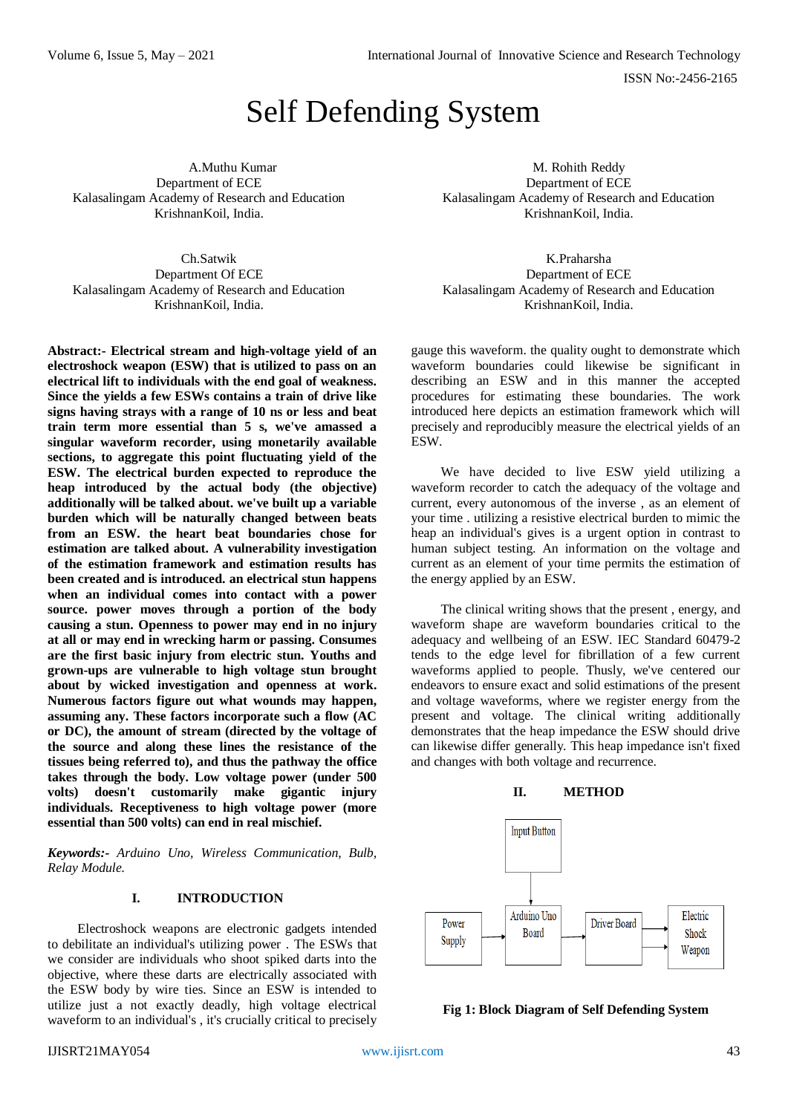ISSN No:-2456-2165

# Self Defending System

A.Muthu Kumar Department of ECE Kalasalingam Academy of Research and Education KrishnanKoil, India.

Ch.Satwik Department Of ECE Kalasalingam Academy of Research and Education KrishnanKoil, India.

**Abstract:- Electrical stream and high-voltage yield of an electroshock weapon (ESW) that is utilized to pass on an electrical lift to individuals with the end goal of weakness. Since the yields a few ESWs contains a train of drive like signs having strays with a range of 10 ns or less and beat train term more essential than 5 s, we've amassed a singular waveform recorder, using monetarily available sections, to aggregate this point fluctuating yield of the ESW. The electrical burden expected to reproduce the heap introduced by the actual body (the objective) additionally will be talked about. we've built up a variable burden which will be naturally changed between beats from an ESW. the heart beat boundaries chose for estimation are talked about. A vulnerability investigation of the estimation framework and estimation results has been created and is introduced. an electrical stun happens when an individual comes into contact with a power source. power moves through a portion of the body causing a stun. Openness to power may end in no injury at all or may end in wrecking harm or passing. Consumes are the first basic injury from electric stun. Youths and grown-ups are vulnerable to high voltage stun brought about by wicked investigation and openness at work. Numerous factors figure out what wounds may happen, assuming any. These factors incorporate such a flow (AC or DC), the amount of stream (directed by the voltage of the source and along these lines the resistance of the tissues being referred to), and thus the pathway the office takes through the body. Low voltage power (under 500 volts) doesn't customarily make gigantic injury individuals. Receptiveness to high voltage power (more essential than 500 volts) can end in real mischief.** 

*Keywords:- Arduino Uno, Wireless Communication, Bulb, Relay Module.*

# **I. INTRODUCTION**

Electroshock weapons are electronic gadgets intended to debilitate an individual's utilizing power . The ESWs that we consider are individuals who shoot spiked darts into the objective, where these darts are electrically associated with the ESW body by wire ties. Since an ESW is intended to utilize just a not exactly deadly, high voltage electrical waveform to an individual's , it's crucially critical to precisely

M. Rohith Reddy Department of ECE Kalasalingam Academy of Research and Education KrishnanKoil, India.

K.Praharsha Department of ECE Kalasalingam Academy of Research and Education KrishnanKoil, India.

gauge this waveform. the quality ought to demonstrate which waveform boundaries could likewise be significant in describing an ESW and in this manner the accepted procedures for estimating these boundaries. The work introduced here depicts an estimation framework which will precisely and reproducibly measure the electrical yields of an ESW.

We have decided to live ESW yield utilizing a waveform recorder to catch the adequacy of the voltage and current, every autonomous of the inverse , as an element of your time . utilizing a resistive electrical burden to mimic the heap an individual's gives is a urgent option in contrast to human subject testing. An information on the voltage and current as an element of your time permits the estimation of the energy applied by an ESW.

The clinical writing shows that the present , energy, and waveform shape are waveform boundaries critical to the adequacy and wellbeing of an ESW. IEC Standard 60479-2 tends to the edge level for fibrillation of a few current waveforms applied to people. Thusly, we've centered our endeavors to ensure exact and solid estimations of the present and voltage waveforms, where we register energy from the present and voltage. The clinical writing additionally demonstrates that the heap impedance the ESW should drive can likewise differ generally. This heap impedance isn't fixed and changes with both voltage and recurrence.





**Fig 1: Block Diagram of Self Defending System**

## IJISRT21MAY054 [www.ijisrt.com](http://www.ijisrt.com/) 43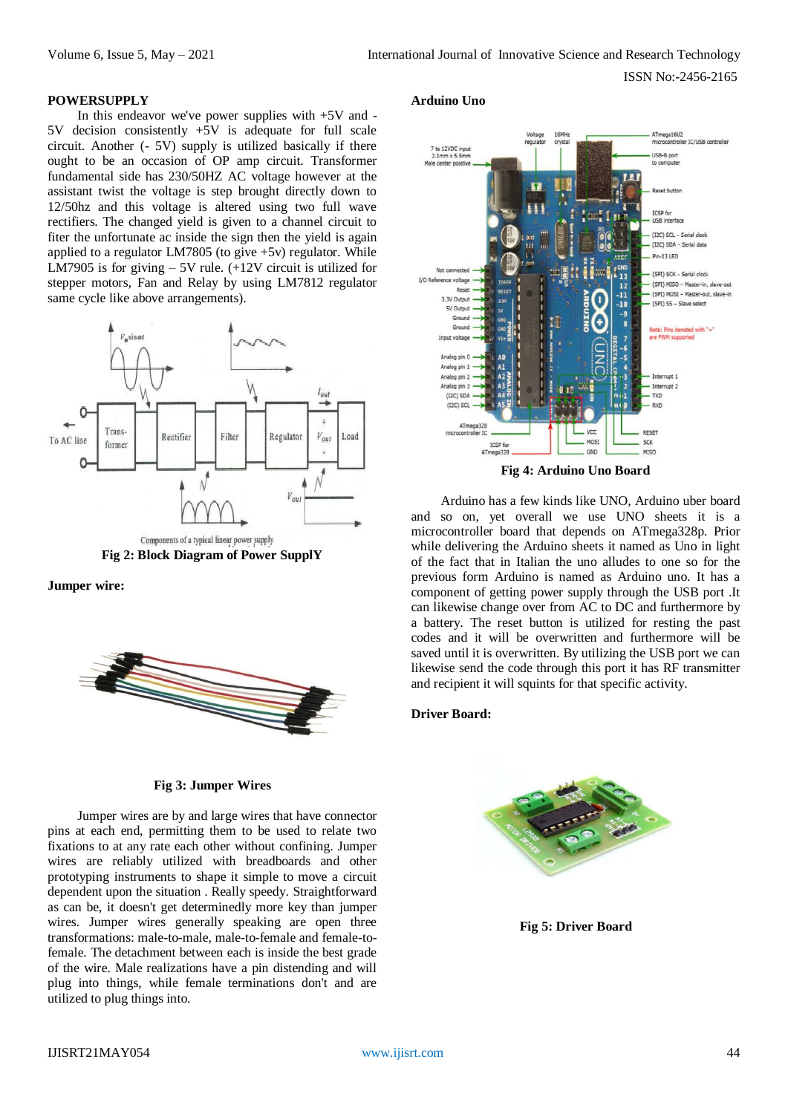ISSN No:-2456-2165

#### **POWERSUPPLY**

In this endeavor we've power supplies with  $+5V$  and decision consistently  $+5V$  is adequate for full scale circuit. Another (- 5V) supply is utilized basically if there ought to be an occasion of OP amp circuit. Transformer fundamental side has 230/50HZ AC voltage however at the assistant twist the voltage is step brought directly down to 12/50hz and this voltage is altered using two full wave rectifiers. The changed yield is given to a channel circuit to fiter the unfortunate ac inside the sign then the yield is again applied to a regulator LM7805 (to give +5v) regulator. While LM7905 is for giving  $-5V$  rule. ( $+12V$  circuit is utilized for stepper motors, Fan and Relay by using LM7812 regulator same cycle like above arrangements).



**Jumper wire:**



#### **Fig 3: Jumper Wires**

Jumper wires are by and large wires that have connector pins at each end, permitting them to be used to relate two fixations to at any rate each other without confining. Jumper wires are reliably utilized with breadboards and other prototyping instruments to shape it simple to move a circuit dependent upon the situation . Really speedy. Straightforward as can be, it doesn't get determinedly more key than jumper wires. Jumper wires generally speaking are open three transformations: male-to-male, male-to-female and female-tofemale. The detachment between each is inside the best grade of the wire. Male realizations have a pin distending and will plug into things, while female terminations don't and are utilized to plug things into.

## **Arduino Uno**



**Fig 4: Arduino Uno Board**

Arduino has a few kinds like UNO, Arduino uber board and so on, yet overall we use UNO sheets it is a microcontroller board that depends on ATmega328p. Prior while delivering the Arduino sheets it named as Uno in light of the fact that in Italian the uno alludes to one so for the previous form Arduino is named as Arduino uno. It has a component of getting power supply through the USB port .It can likewise change over from AC to DC and furthermore by a battery. The reset button is utilized for resting the past codes and it will be overwritten and furthermore will be saved until it is overwritten. By utilizing the USB port we can likewise send the code through this port it has RF transmitter and recipient it will squints for that specific activity.

#### **Driver Board:**



**Fig 5: Driver Board**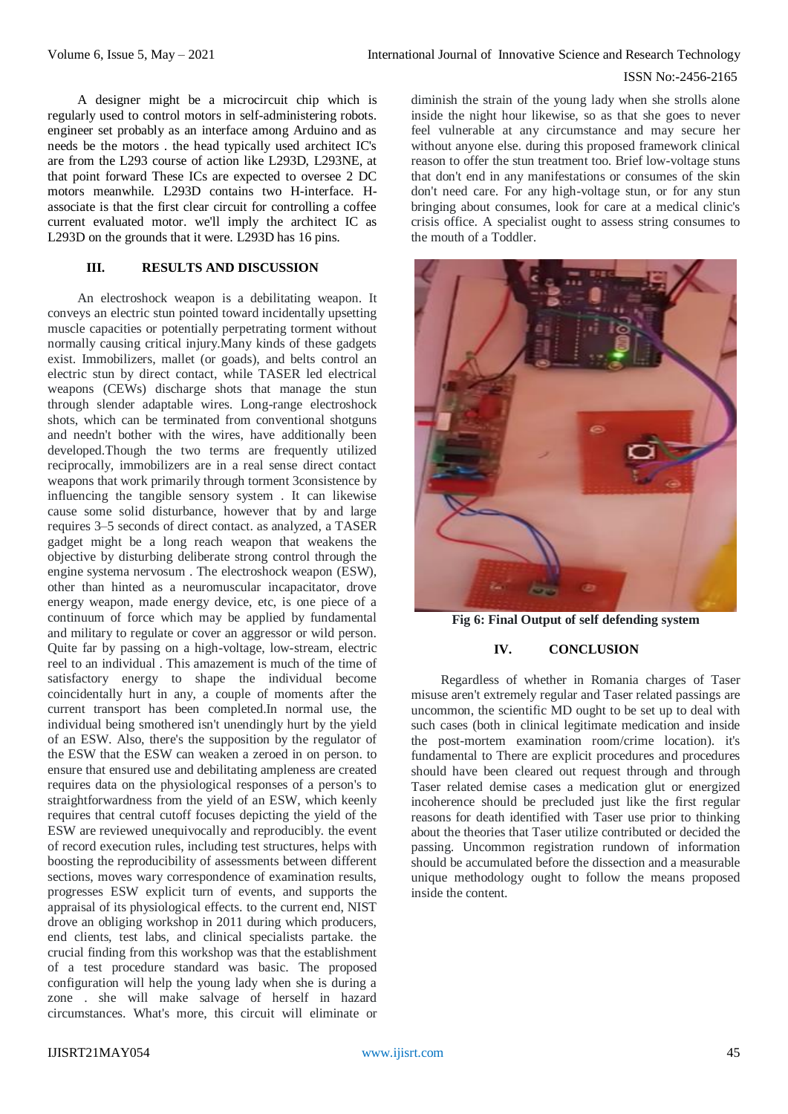#### ISSN No:-2456-2165

A designer might be a microcircuit chip which is regularly used to control motors in self-administering robots. engineer set probably as an interface among Arduino and as needs be the motors . the head typically used architect IC's are from the L293 course of action like L293D, L293NE, at that point forward These ICs are expected to oversee 2 DC motors meanwhile. L293D contains two H-interface. Hassociate is that the first clear circuit for controlling a coffee current evaluated motor. we'll imply the architect IC as L293D on the grounds that it were. L293D has 16 pins.

# **III. RESULTS AND DISCUSSION**

An electroshock weapon is a debilitating weapon. It conveys an electric stun pointed toward incidentally upsetting muscle capacities or potentially perpetrating torment without normally causing critical injury.Many kinds of these gadgets exist. Immobilizers, mallet (or goads), and belts control an electric stun by direct contact, while TASER led electrical weapons (CEWs) discharge shots that manage the stun through slender adaptable wires. Long-range electroshock shots, which can be terminated from conventional shotguns and needn't bother with the wires, have additionally been developed.Though the two terms are frequently utilized reciprocally, immobilizers are in a real sense direct contact weapons that work primarily through torment 3consistence by influencing the tangible sensory system . It can likewise cause some solid disturbance, however that by and large requires 3–5 seconds of direct contact. as analyzed, a TASER gadget might be a long reach weapon that weakens the objective by disturbing deliberate strong control through the engine systema nervosum . The electroshock weapon (ESW), other than hinted as a neuromuscular incapacitator, drove energy weapon, made energy device, etc, is one piece of a continuum of force which may be applied by fundamental and military to regulate or cover an aggressor or wild person. Quite far by passing on a high-voltage, low-stream, electric reel to an individual . This amazement is much of the time of satisfactory energy to shape the individual become coincidentally hurt in any, a couple of moments after the current transport has been completed.In normal use, the individual being smothered isn't unendingly hurt by the yield of an ESW. Also, there's the supposition by the regulator of the ESW that the ESW can weaken a zeroed in on person. to ensure that ensured use and debilitating ampleness are created requires data on the physiological responses of a person's to straightforwardness from the yield of an ESW, which keenly requires that central cutoff focuses depicting the yield of the ESW are reviewed unequivocally and reproducibly. the event of record execution rules, including test structures, helps with boosting the reproducibility of assessments between different sections, moves wary correspondence of examination results, progresses ESW explicit turn of events, and supports the appraisal of its physiological effects. to the current end, NIST drove an obliging workshop in 2011 during which producers, end clients, test labs, and clinical specialists partake. the crucial finding from this workshop was that the establishment of a test procedure standard was basic. The proposed configuration will help the young lady when she is during a zone . she will make salvage of herself in hazard circumstances. What's more, this circuit will eliminate or

diminish the strain of the young lady when she strolls alone inside the night hour likewise, so as that she goes to never feel vulnerable at any circumstance and may secure her without anyone else. during this proposed framework clinical reason to offer the stun treatment too. Brief low-voltage stuns that don't end in any manifestations or consumes of the skin don't need care. For any high-voltage stun, or for any stun bringing about consumes, look for care at a medical clinic's crisis office. A specialist ought to assess string consumes to the mouth of a Toddler.



**Fig 6: Final Output of self defending system**

### **IV. CONCLUSION**

Regardless of whether in Romania charges of Taser misuse aren't extremely regular and Taser related passings are uncommon, the scientific MD ought to be set up to deal with such cases (both in clinical legitimate medication and inside the post-mortem examination room/crime location). it's fundamental to There are explicit procedures and procedures should have been cleared out request through and through Taser related demise cases a medication glut or energized incoherence should be precluded just like the first regular reasons for death identified with Taser use prior to thinking about the theories that Taser utilize contributed or decided the passing. Uncommon registration rundown of information should be accumulated before the dissection and a measurable unique methodology ought to follow the means proposed inside the content.